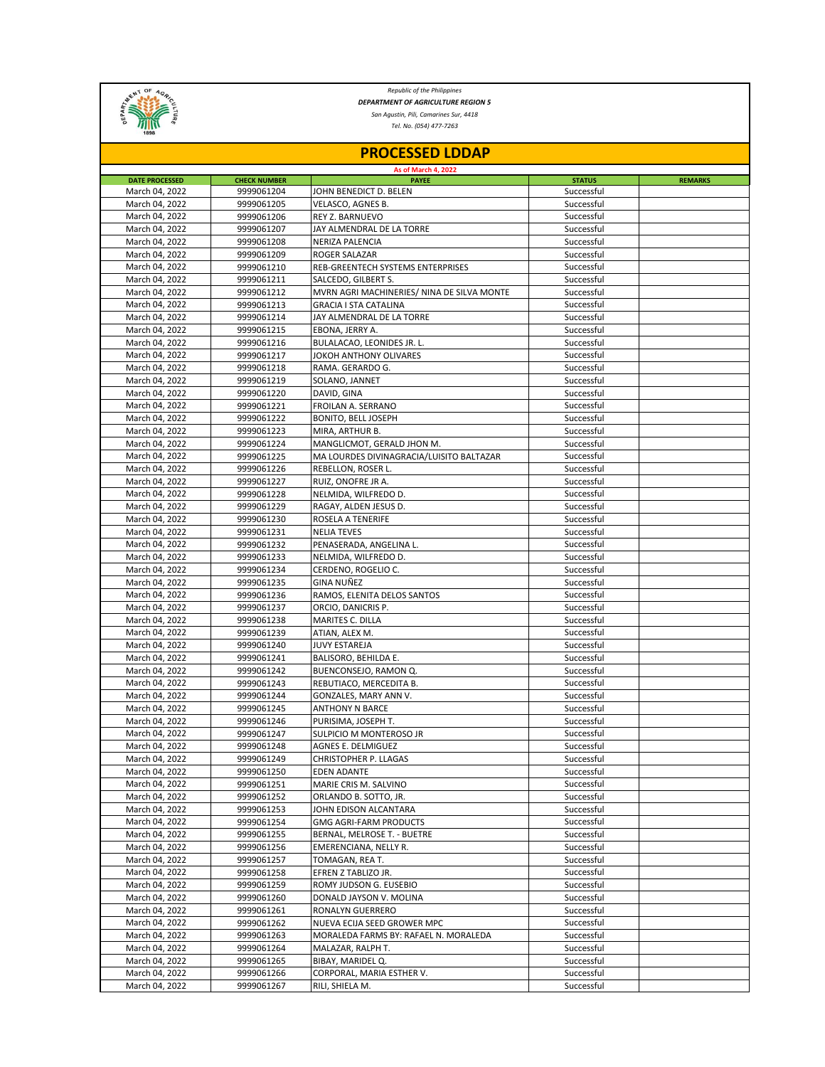

*Republic of the Philippines DEPARTMENT OF AGRICULTURE REGION 5*

*San Agustin, Pili, Camarines Sur, 4418*

*Tel. No. (054) 477-7263*

| <b>PROCESSED LDDAP</b>           |                          |                                                 |                          |                |  |  |  |
|----------------------------------|--------------------------|-------------------------------------------------|--------------------------|----------------|--|--|--|
| <b>As of March 4, 2022</b>       |                          |                                                 |                          |                |  |  |  |
| <b>DATE PROCESSED</b>            | <b>CHECK NUMBER</b>      | <b>PAYEE</b>                                    | <b>STATUS</b>            | <b>REMARKS</b> |  |  |  |
| March 04, 2022                   | 9999061204               | JOHN BENEDICT D. BELEN                          | Successful               |                |  |  |  |
| March 04, 2022                   | 9999061205               | VELASCO, AGNES B.<br><b>REY Z. BARNUEVO</b>     | Successful<br>Successful |                |  |  |  |
| March 04, 2022                   | 9999061206<br>9999061207 |                                                 |                          |                |  |  |  |
| March 04, 2022<br>March 04, 2022 | 9999061208               | JAY ALMENDRAL DE LA TORRE                       | Successful<br>Successful |                |  |  |  |
|                                  | 9999061209               | NERIZA PALENCIA<br>ROGER SALAZAR                | Successful               |                |  |  |  |
| March 04, 2022<br>March 04, 2022 | 9999061210               | REB-GREENTECH SYSTEMS ENTERPRISES               | Successful               |                |  |  |  |
| March 04, 2022                   | 9999061211               | SALCEDO, GILBERT S.                             | Successful               |                |  |  |  |
| March 04, 2022                   | 9999061212               | MVRN AGRI MACHINERIES/ NINA DE SILVA MONTE      | Successful               |                |  |  |  |
| March 04, 2022                   | 9999061213               | <b>GRACIA I STA CATALINA</b>                    | Successful               |                |  |  |  |
| March 04, 2022                   | 9999061214               | JAY ALMENDRAL DE LA TORRE                       | Successful               |                |  |  |  |
| March 04, 2022                   | 9999061215               | EBONA, JERRY A.                                 | Successful               |                |  |  |  |
| March 04, 2022                   | 9999061216               | BULALACAO, LEONIDES JR. L.                      | Successful               |                |  |  |  |
| March 04, 2022                   | 9999061217               | JOKOH ANTHONY OLIVARES                          | Successful               |                |  |  |  |
| March 04, 2022                   | 9999061218               | RAMA. GERARDO G.                                | Successful               |                |  |  |  |
| March 04, 2022                   | 9999061219               | SOLANO, JANNET                                  | Successful               |                |  |  |  |
| March 04, 2022                   | 9999061220               | DAVID, GINA                                     | Successful               |                |  |  |  |
| March 04, 2022                   | 9999061221               | FROILAN A. SERRANO                              | Successful               |                |  |  |  |
| March 04, 2022                   | 9999061222               | BONITO, BELL JOSEPH                             | Successful               |                |  |  |  |
| March 04, 2022                   | 9999061223               | MIRA, ARTHUR B.                                 | Successful               |                |  |  |  |
| March 04, 2022                   | 9999061224               | MANGLICMOT, GERALD JHON M.                      | Successful               |                |  |  |  |
| March 04, 2022                   | 9999061225               | MA LOURDES DIVINAGRACIA/LUISITO BALTAZAR        | Successful               |                |  |  |  |
| March 04, 2022                   | 9999061226               | REBELLON, ROSER L.                              | Successful               |                |  |  |  |
| March 04, 2022                   | 9999061227               | RUIZ, ONOFRE JR A.                              | Successful               |                |  |  |  |
| March 04, 2022                   | 9999061228               | NELMIDA, WILFREDO D.                            | Successful               |                |  |  |  |
| March 04, 2022                   | 9999061229               | RAGAY, ALDEN JESUS D.                           | Successful               |                |  |  |  |
| March 04, 2022                   | 9999061230               | ROSELA A TENERIFE                               | Successful               |                |  |  |  |
| March 04, 2022                   | 9999061231               | <b>NELIA TEVES</b>                              | Successful               |                |  |  |  |
| March 04, 2022                   | 9999061232               | PENASERADA, ANGELINA L.                         | Successful               |                |  |  |  |
| March 04, 2022                   | 9999061233               | NELMIDA, WILFREDO D.                            | Successful               |                |  |  |  |
| March 04, 2022                   | 9999061234               | CERDENO, ROGELIO C.                             | Successful               |                |  |  |  |
| March 04, 2022                   | 9999061235               | <b>GINA NUÑEZ</b>                               | Successful               |                |  |  |  |
| March 04, 2022                   | 9999061236               | RAMOS, ELENITA DELOS SANTOS                     | Successful               |                |  |  |  |
| March 04, 2022                   | 9999061237               | ORCIO, DANICRIS P.                              | Successful               |                |  |  |  |
| March 04, 2022                   | 9999061238               | MARITES C. DILLA                                | Successful               |                |  |  |  |
| March 04, 2022                   | 9999061239               | ATIAN, ALEX M.                                  | Successful               |                |  |  |  |
| March 04, 2022                   | 9999061240               | <b>JUVY ESTAREJA</b>                            | Successful               |                |  |  |  |
| March 04, 2022                   | 9999061241               | BALISORO, BEHILDA E.                            | Successful               |                |  |  |  |
| March 04, 2022                   | 9999061242               | BUENCONSEJO, RAMON Q.                           | Successful               |                |  |  |  |
| March 04, 2022                   | 9999061243               | REBUTIACO, MERCEDITA B.                         | Successful<br>Successful |                |  |  |  |
| March 04, 2022<br>March 04, 2022 | 9999061244<br>9999061245 | GONZALES, MARY ANN V.<br><b>ANTHONY N BARCE</b> | Successful               |                |  |  |  |
| March 04, 2022                   | 9999061246               | PURISIMA, JOSEPH T.                             | Successful               |                |  |  |  |
| March 04, 2022                   | 9999061247               | SULPICIO M MONTEROSO JR                         | Successful               |                |  |  |  |
| March 04, 2022                   | 9999061248               | <b>AGNES E. DELMIGUEZ</b>                       | Successful               |                |  |  |  |
| March 04, 2022                   | 9999061249               | CHRISTOPHER P. LLAGAS                           | Successful               |                |  |  |  |
| March 04, 2022                   | 9999061250               | <b>EDEN ADANTE</b>                              | Successful               |                |  |  |  |
| March 04, 2022                   | 9999061251               | MARIE CRIS M. SALVINO                           | Successful               |                |  |  |  |
| March 04, 2022                   | 9999061252               | ORLANDO B. SOTTO, JR.                           | Successful               |                |  |  |  |
| March 04, 2022                   | 9999061253               | JOHN EDISON ALCANTARA                           | Successful               |                |  |  |  |
| March 04, 2022                   | 9999061254               | <b>GMG AGRI-FARM PRODUCTS</b>                   | Successful               |                |  |  |  |
| March 04, 2022                   | 9999061255               | BERNAL, MELROSE T. - BUETRE                     | Successful               |                |  |  |  |
| March 04, 2022                   | 9999061256               | EMERENCIANA, NELLY R.                           | Successful               |                |  |  |  |
| March 04, 2022                   | 9999061257               | TOMAGAN, REA T.                                 | Successful               |                |  |  |  |
| March 04, 2022                   | 9999061258               | EFREN Z TABLIZO JR.                             | Successful               |                |  |  |  |
| March 04, 2022                   | 9999061259               | ROMY JUDSON G. EUSEBIO                          | Successful               |                |  |  |  |
| March 04, 2022                   | 9999061260               | DONALD JAYSON V. MOLINA                         | Successful               |                |  |  |  |
| March 04, 2022                   | 9999061261               | RONALYN GUERRERO                                | Successful               |                |  |  |  |
| March 04, 2022                   | 9999061262               | NUEVA ECIJA SEED GROWER MPC                     | Successful               |                |  |  |  |
| March 04, 2022                   | 9999061263               | MORALEDA FARMS BY: RAFAEL N. MORALEDA           | Successful               |                |  |  |  |
| March 04, 2022                   | 9999061264               | MALAZAR, RALPH T.                               | Successful               |                |  |  |  |
| March 04, 2022                   | 9999061265               | BIBAY, MARIDEL Q.                               | Successful               |                |  |  |  |
| March 04, 2022                   | 9999061266               | CORPORAL, MARIA ESTHER V.                       | Successful               |                |  |  |  |
| March 04, 2022                   | 9999061267               | RILI, SHIELA M.                                 | Successful               |                |  |  |  |